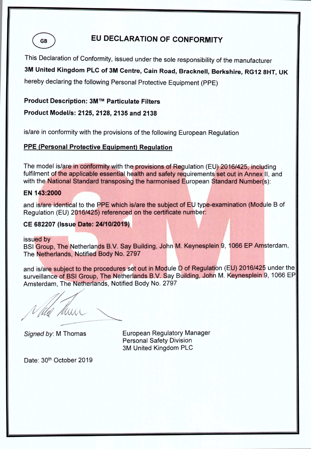**GB** 

# EU DECLARATION OF CONFORMITY

This Declaration of Conformity, issued under the sole responsibility of the manufacturer

3M United Kingdom PLC of 3M Centre, Cain Road, Bracknell, Berkshire, RG12 8HT, UK

hereby declaring the following Personal Protective Equipment (PPE)

#### Product Description: 3M™ Particulate Filters

Product Model/s: 2125, 2128, 2135 and 2138

is/are in conformity with the provisions of the following European Regulation

# **PPE (Personal Protective Equipment) Regulation**

The model is/are in conformity with the provisions of Regulation (EU) 2016/425, including fulfilment of the applicable essential health and safety requirements set out in Annex II, and with the National Standard transposing the harmonised European Standard Number(s):

#### EN 143:2000

and is/are identical to the PPE which is/are the subject of EU type-examination (Module B of Regulation (EU) 2016/425) referenced on the certificate number:

#### CE 682207 (Issue Date: 24/10/2019)

issued by

BSI Group, The Netherlands B.V. Say Building, John M. Keynesplein 9, 1066 EP Amsterdam, The Netherlands, Notified Body No. 2797

and is/are subject to the procedures set out in Module D of Regulation (EU) 2016/425 under the surveillance of BSI Group, The Netherlands B.V. Say Building, John M. Keynesplein 9, 1066 EP Amsterdam, The Netherlands, Notified Body No. 2797

Vida Mun

Signed by: M Thomas

**European Regulatory Manager Personal Safety Division** 3M United Kingdom PLC

Date: 30th October 2019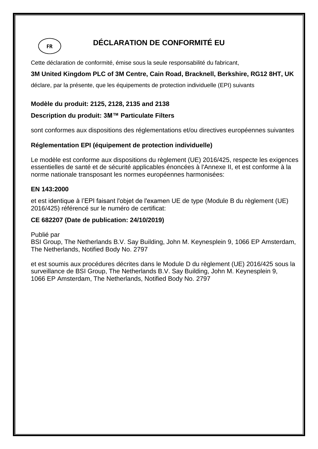**FR**

# **DÉCLARATION DE CONFORMITÉ EU**

Cette déclaration de conformité, émise sous la seule responsabilité du fabricant,

# **3M United Kingdom PLC of 3M Centre, Cain Road, Bracknell, Berkshire, RG12 8HT, UK**

déclare, par la présente, que les équipements de protection individuelle (EPI) suivants

#### **Modèle du produit: 2125, 2128, 2135 and 2138**

#### **Description du produit: 3M™ Particulate Filters**

sont conformes aux dispositions des réglementations et/ou directives européennes suivantes

# **Réglementation EPI (équipement de protection individuelle)**

Le modèle est conforme aux dispositions du règlement (UE) 2016/425, respecte les exigences essentielles de santé et de sécurité applicables énoncées à l'Annexe II, et est conforme à la norme nationale transposant les normes européennes harmonisées:

#### **EN 143:2000**

et est identique à l'EPI faisant l'objet de l'examen UE de type (Module B du règlement (UE) 2016/425) référencé sur le numéro de certificat:

#### **CE 682207 (Date de publication: 24/10/2019)**

#### Publié par

BSI Group, The Netherlands B.V. Say Building, John M. Keynesplein 9, 1066 EP Amsterdam, The Netherlands, Notified Body No. 2797

et est soumis aux procédures décrites dans le Module D du règlement (UE) 2016/425 sous la surveillance de BSI Group, The Netherlands B.V. Say Building, John M. Keynesplein 9, 1066 EP Amsterdam, The Netherlands, Notified Body No. 2797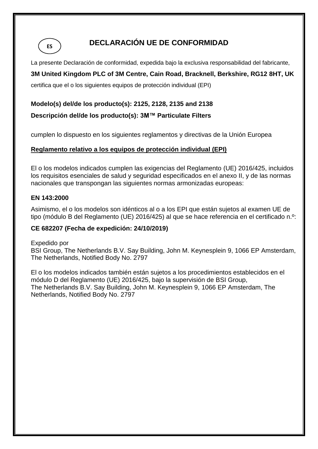**ES**

# **DECLARACIÓN UE DE CONFORMIDAD**

La presente Declaración de conformidad, expedida bajo la exclusiva responsabilidad del fabricante,

# **3M United Kingdom PLC of 3M Centre, Cain Road, Bracknell, Berkshire, RG12 8HT, UK**

certifica que el o los siguientes equipos de protección individual (EPI)

### **Modelo(s) del/de los producto(s): 2125, 2128, 2135 and 2138**

### **Descripción del/de los producto(s): 3M™ Particulate Filters**

cumplen lo dispuesto en los siguientes reglamentos y directivas de la Unión Europea

# **Reglamento relativo a los equipos de protección individual (EPI)**

El o los modelos indicados cumplen las exigencias del Reglamento (UE) 2016/425, incluidos los requisitos esenciales de salud y seguridad especificados en el anexo II, y de las normas nacionales que transpongan las siguientes normas armonizadas europeas:

#### **EN 143:2000**

Asimismo, el o los modelos son idénticos al o a los EPI que están sujetos al examen UE de tipo (módulo B del Reglamento (UE) 2016/425) al que se hace referencia en el certificado n.º:

#### **CE 682207 (Fecha de expedición: 24/10/2019)**

Expedido por BSI Group, The Netherlands B.V. Say Building, John M. Keynesplein 9, 1066 EP Amsterdam, The Netherlands, Notified Body No. 2797

El o los modelos indicados también están sujetos a los procedimientos establecidos en el módulo D del Reglamento (UE) 2016/425, bajo la supervisión de BSI Group, The Netherlands B.V. Say Building, John M. Keynesplein 9, 1066 EP Amsterdam, The Netherlands, Notified Body No. 2797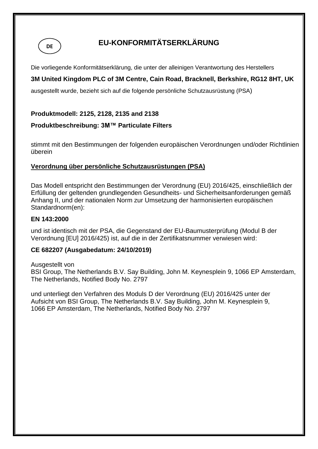

# **EU-KONFORMITÄTSERKLÄRUNG**

Die vorliegende Konformitätserklärung, die unter der alleinigen Verantwortung des Herstellers

# **3M United Kingdom PLC of 3M Centre, Cain Road, Bracknell, Berkshire, RG12 8HT, UK**

ausgestellt wurde, bezieht sich auf die folgende persönliche Schutzausrüstung (PSA)

## **Produktmodell: 2125, 2128, 2135 and 2138**

#### **Produktbeschreibung: 3M™ Particulate Filters**

stimmt mit den Bestimmungen der folgenden europäischen Verordnungen und/oder Richtlinien überein

# **Verordnung über persönliche Schutzausrüstungen (PSA)**

Das Modell entspricht den Bestimmungen der Verordnung (EU) 2016/425, einschließlich der Erfüllung der geltenden grundlegenden Gesundheits- und Sicherheitsanforderungen gemäß Anhang II, und der nationalen Norm zur Umsetzung der harmonisierten europäischen Standardnorm(en):

#### **EN 143:2000**

und ist identisch mit der PSA, die Gegenstand der EU-Baumusterprüfung (Modul B der Verordnung [EU] 2016/425) ist, auf die in der Zertifikatsnummer verwiesen wird:

#### **CE 682207 (Ausgabedatum: 24/10/2019)**

Ausgestellt von

BSI Group, The Netherlands B.V. Say Building, John M. Keynesplein 9, 1066 EP Amsterdam, The Netherlands, Notified Body No. 2797

und unterliegt den Verfahren des Moduls D der Verordnung (EU) 2016/425 unter der Aufsicht von BSI Group, The Netherlands B.V. Say Building, John M. Keynesplein 9, 1066 EP Amsterdam, The Netherlands, Notified Body No. 2797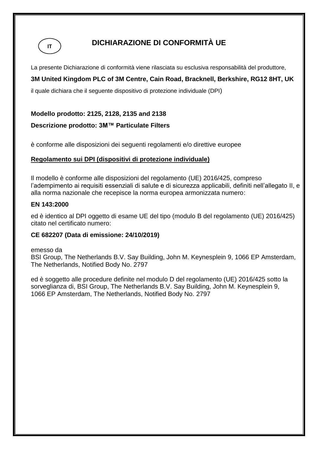

# **DICHIARAZIONE DI CONFORMITÀ UE**

La presente Dichiarazione di conformità viene rilasciata su esclusiva responsabilità del produttore,

# **3M United Kingdom PLC of 3M Centre, Cain Road, Bracknell, Berkshire, RG12 8HT, UK**

il quale dichiara che il seguente dispositivo di protezione individuale (DPI)

## **Modello prodotto: 2125, 2128, 2135 and 2138**

# **Descrizione prodotto: 3M™ Particulate Filters**

è conforme alle disposizioni dei seguenti regolamenti e/o direttive europee

# **Regolamento sui DPI (dispositivi di protezione individuale)**

Il modello è conforme alle disposizioni del regolamento (UE) 2016/425, compreso l'adempimento ai requisiti essenziali di salute e di sicurezza applicabili, definiti nell'allegato II, e alla norma nazionale che recepisce la norma europea armonizzata numero:

#### **EN 143:2000**

ed è identico al DPI oggetto di esame UE del tipo (modulo B del regolamento (UE) 2016/425) citato nel certificato numero:

#### **CE 682207 (Data di emissione: 24/10/2019)**

emesso da

BSI Group, The Netherlands B.V. Say Building, John M. Keynesplein 9, 1066 EP Amsterdam, The Netherlands, Notified Body No. 2797

ed è soggetto alle procedure definite nel modulo D del regolamento (UE) 2016/425 sotto la sorveglianza di, BSI Group, The Netherlands B.V. Say Building, John M. Keynesplein 9, 1066 EP Amsterdam, The Netherlands, Notified Body No. 2797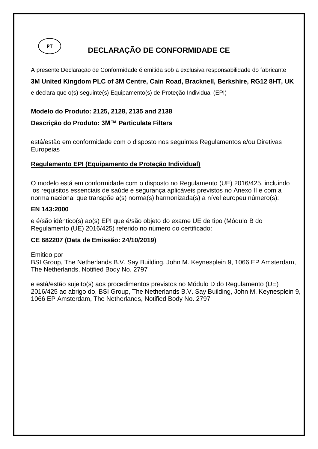

# **DECLARAÇÃO DE CONFORMIDADE CE**

A presente Declaração de Conformidade é emitida sob a exclusiva responsabilidade do fabricante

**3M United Kingdom PLC of 3M Centre, Cain Road, Bracknell, Berkshire, RG12 8HT, UK** 

e declara que o(s) seguinte(s) Equipamento(s) de Proteção Individual (EPI)

#### **Modelo do Produto: 2125, 2128, 2135 and 2138**

**Descrição do Produto: 3M™ Particulate Filters**

está/estão em conformidade com o disposto nos seguintes Regulamentos e/ou Diretivas **Europeias** 

#### **Regulamento EPI (Equipamento de Proteção Individual)**

O modelo está em conformidade com o disposto no Regulamento (UE) 2016/425, incluindo os requisitos essenciais de saúde e segurança aplicáveis previstos no Anexo II e com a norma nacional que transpõe a(s) norma(s) harmonizada(s) a nível europeu número(s):

#### **EN 143:2000**

e é/são idêntico(s) ao(s) EPI que é/são objeto do exame UE de tipo (Módulo B do Regulamento (UE) 2016/425) referido no número do certificado:

#### **CE 682207 (Data de Emissão: 24/10/2019)**

Emitido por BSI Group, The Netherlands B.V. Say Building, John M. Keynesplein 9, 1066 EP Amsterdam, The Netherlands, Notified Body No. 2797

e está/estão sujeito(s) aos procedimentos previstos no Módulo D do Regulamento (UE) 2016/425 ao abrigo do, BSI Group, The Netherlands B.V. Say Building, John M. Keynesplein 9, 1066 EP Amsterdam, The Netherlands, Notified Body No. 2797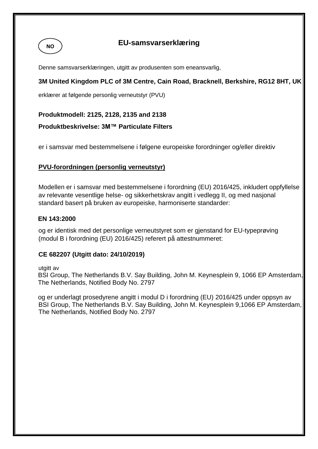# **NO**

# **EU-samsvarserklæring**

Denne samsvarserklæringen, utgitt av produsenten som eneansvarlig,

# **3M United Kingdom PLC of 3M Centre, Cain Road, Bracknell, Berkshire, RG12 8HT, UK**

erklærer at følgende personlig verneutstyr (PVU)

#### **Produktmodell: 2125, 2128, 2135 and 2138**

#### **Produktbeskrivelse: 3M™ Particulate Filters**

er i samsvar med bestemmelsene i følgene europeiske forordninger og/eller direktiv

#### **PVU-forordningen (personlig verneutstyr)**

Modellen er i samsvar med bestemmelsene i forordning (EU) 2016/425, inkludert oppfyllelse av relevante vesentlige helse- og sikkerhetskrav angitt i vedlegg II, og med nasjonal standard basert på bruken av europeiske, harmoniserte standarder:

#### **EN 143:2000**

og er identisk med det personlige verneutstyret som er gjenstand for EU-typeprøving (modul B i forordning (EU) 2016/425) referert på attestnummeret:

#### **CE 682207 (Utgitt dato: 24/10/2019)**

utgitt av

 BSI Group, The Netherlands B.V. Say Building, John M. Keynesplein 9, 1066 EP Amsterdam, The Netherlands, Notified Body No. 2797

 og er underlagt prosedyrene angitt i modul D i forordning (EU) 2016/425 under oppsyn av BSI Group, The Netherlands B.V. Say Building, John M. Keynesplein 9,1066 EP Amsterdam, The Netherlands, Notified Body No. 2797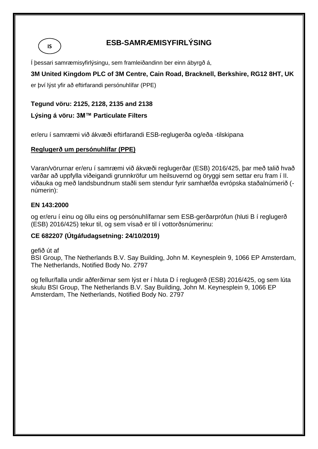**IS**

# **ESB-SAMRÆMISYFIRLÝSING**

Í þessari samræmisyfirlýsingu, sem framleiðandinn ber einn ábyrgð á,

# **3M United Kingdom PLC of 3M Centre, Cain Road, Bracknell, Berkshire, RG12 8HT, UK**

er því lýst yfir að eftirfarandi persónuhlífar (PPE)

# **Tegund vöru: 2125, 2128, 2135 and 2138**

# **Lýsing á vöru: 3M™ Particulate Filters**

er/eru í samræmi við ákvæði eftirfarandi ESB-reglugerða og/eða -tilskipana

# **Reglugerð um persónuhlífar (PPE)**

Varan/vörurnar er/eru í samræmi við ákvæði reglugerðar (ESB) 2016/425, þar með talið hvað varðar að uppfylla viðeigandi grunnkröfur um heilsuvernd og öryggi sem settar eru fram í II. viðauka og með landsbundnum staðli sem stendur fyrir samhæfða evrópska staðalnúmerið ( númerin):

#### **EN 143:2000**

og er/eru í einu og öllu eins og persónuhlífarnar sem ESB-gerðarprófun (hluti B í reglugerð (ESB) 2016/425) tekur til, og sem vísað er til í vottorðsnúmerinu:

#### **CE 682207 (Útgáfudagsetning: 24/10/2019)**

gefið út af BSI Group, The Netherlands B.V. Say Building, John M. Keynesplein 9, 1066 EP Amsterdam, The Netherlands, Notified Body No. 2797

og fellur/falla undir aðferðirnar sem lýst er í hluta D í reglugerð (ESB) 2016/425, og sem lúta skulu BSI Group, The Netherlands B.V. Say Building, John M. Keynesplein 9, 1066 EP Amsterdam, The Netherlands, Notified Body No. 2797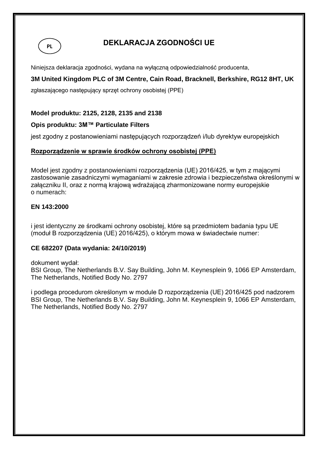

# **DEKLARACJA ZGODNOŚCI UE**

Niniejsza deklaracja zgodności, wydana na wyłączną odpowiedzialność producenta,

# **3M United Kingdom PLC of 3M Centre, Cain Road, Bracknell, Berkshire, RG12 8HT, UK**

zgłaszającego następujący sprzęt ochrony osobistej (PPE)

#### **Model produktu: 2125, 2128, 2135 and 2138**

#### **Opis produktu: 3M™ Particulate Filters**

jest zgodny z postanowieniami następujących rozporządzeń i/lub dyrektyw europejskich

#### **Rozporządzenie w sprawie środków ochrony osobistej (PPE)**

Model jest zgodny z postanowieniami rozporządzenia (UE) 2016/425, w tym z mającymi zastosowanie zasadniczymi wymaganiami w zakresie zdrowia i bezpieczeństwa określonymi w załączniku II, oraz z normą krajową wdrażającą zharmonizowane normy europejskie o numerach:

#### **EN 143:2000**

i jest identyczny ze środkami ochrony osobistej, które są przedmiotem badania typu UE (moduł B rozporządzenia (UE) 2016/425), o którym mowa w świadectwie numer:

#### **CE 682207 (Data wydania: 24/10/2019)**

dokument wydał:

BSI Group, The Netherlands B.V. Say Building, John M. Keynesplein 9, 1066 EP Amsterdam, The Netherlands, Notified Body No. 2797

i podlega procedurom określonym w module D rozporządzenia (UE) 2016/425 pod nadzorem BSI Group, The Netherlands B.V. Say Building, John M. Keynesplein 9, 1066 EP Amsterdam, The Netherlands, Notified Body No. 2797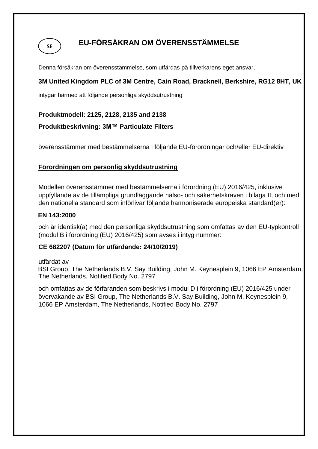

# **EU-FÖRSÄKRAN OM ÖVERENSSTÄMMELSE**

Denna försäkran om överensstämmelse, som utfärdas på tillverkarens eget ansvar,

# **3M United Kingdom PLC of 3M Centre, Cain Road, Bracknell, Berkshire, RG12 8HT, UK**

intygar härmed att följande personliga skyddsutrustning

#### **Produktmodell: 2125, 2128, 2135 and 2138**

#### **Produktbeskrivning: 3M™ Particulate Filters**

överensstämmer med bestämmelserna i följande EU-förordningar och/eller EU-direktiv

#### **Förordningen om personlig skyddsutrustning**

Modellen överensstämmer med bestämmelserna i förordning (EU) 2016/425, inklusive uppfyllande av de tillämpliga grundläggande hälso- och säkerhetskraven i bilaga II, och med den nationella standard som införlivar följande harmoniserade europeiska standard(er):

#### **EN 143:2000**

och är identisk(a) med den personliga skyddsutrustning som omfattas av den EU-typkontroll (modul B i förordning (EU) 2016/425) som avses i intyg nummer:

#### **CE 682207 (Datum för utfärdande: 24/10/2019)**

utfärdat av

 BSI Group, The Netherlands B.V. Say Building, John M. Keynesplein 9, 1066 EP Amsterdam, The Netherlands, Notified Body No. 2797

och omfattas av de förfaranden som beskrivs i modul D i förordning (EU) 2016/425 under övervakande av BSI Group, The Netherlands B.V. Say Building, John M. Keynesplein 9, 1066 EP Amsterdam, The Netherlands, Notified Body No. 2797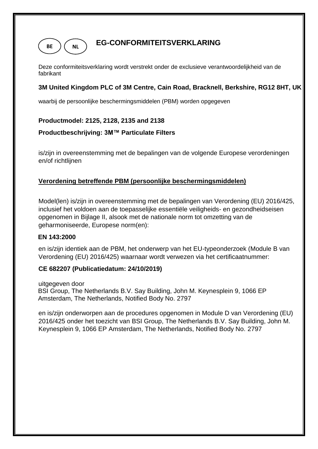

# **EG-CONFORMITEITSVERKLARING**

Deze conformiteitsverklaring wordt verstrekt onder de exclusieve verantwoordelijkheid van de fabrikant **X X**

#### **3M United Kingdom PLC of 3M Centre, Cain Road, Bracknell, Berkshire, RG12 8HT, UK X X**

waarbij de persoonlijke beschermingsmiddelen (PBM) worden opgegeven **X**

#### **Productmodel: 2125, 2128, 2135 and 2138**

#### **Productbeschrijving: 3M™ Particulate Filters**

is/zijn in overeenstemming met de bepalingen van de volgende Europese verordeningen en/of richtlijnen

#### **Verordening betreffende PBM (persoonlijke beschermingsmiddelen)**

Model(len) is/zijn in overeenstemming met de bepalingen van Verordening (EU) 2016/425, inclusief het voldoen aan de toepasselijke essentiële veiligheids- en gezondheidseisen opgenomen in Bijlage II, alsook met de nationale norm tot omzetting van de geharmoniseerde, Europese norm(en):

#### **EN 143:2000**

en is/zijn identiek aan de PBM, het onderwerp van het EU-typeonderzoek (Module B van Verordening (EU) 2016/425) waarnaar wordt verwezen via het certificaatnummer:

#### **CE 682207 (Publicatiedatum: 24/10/2019)**

uitgegeven door BSI Group, The Netherlands B.V. Say Building, John M. Keynesplein 9, 1066 EP Amsterdam, The Netherlands, Notified Body No. 2797

en is/zijn onderworpen aan de procedures opgenomen in Module D van Verordening (EU) 2016/425 onder het toezicht van BSI Group, The Netherlands B.V. Say Building, John M. Keynesplein 9, 1066 EP Amsterdam, The Netherlands, Notified Body No. 2797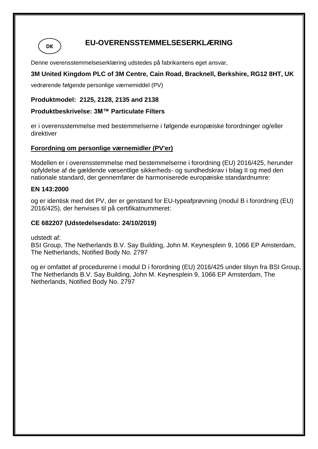**DK**

# **EU-OVERENSSTEMMELSESERKLÆRING**

Denne overensstemmelseserklæring udstedes på fabrikantens eget ansvar,

# **3M United Kingdom PLC of 3M Centre, Cain Road, Bracknell, Berkshire, RG12 8HT, UK**

vedrørende følgende personlige værnemiddel (PV)

#### **Produktmodel: 2125, 2128, 2135 and 2138**

#### **Produktbeskrivelse: 3M™ Particulate Filters**

er i overensstemmelse med bestemmelserne i følgende europæiske forordninger og/eller direktiver

#### **Forordning om personlige værnemidler (PV'er)**

Modellen er i overensstemmelse med bestemmelserne i forordning (EU) 2016/425, herunder opfyldelse af de gældende væsentlige sikkerheds- og sundhedskrav i bilag II og med den nationale standard, der gennemfører de harmoniserede europæiske standardnumre:

#### **EN 143:2000**

og er identisk med det PV, der er genstand for EU-typeafprøvning (modul B i forordning (EU) 2016/425), der henvises til på certifikatnummeret:

#### **CE 682207 (Udstedelsesdato: 24/10/2019)**

udstedt af:

BSI Group, The Netherlands B.V. Say Building, John M. Keynesplein 9, 1066 EP Amsterdam, The Netherlands, Notified Body No. 2797

og er omfattet af procedurerne i modul D i forordning (EU) 2016/425 under tilsyn fra BSI Group, The Netherlands B.V. Say Building, John M. Keynesplein 9, 1066 EP Amsterdam, The Netherlands, Notified Body No. 2797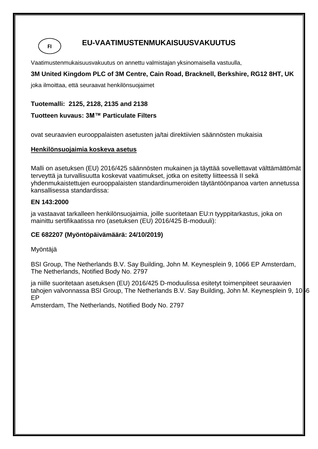**FI**

# **EU-VAATIMUSTENMUKAISUUSVAKUUTUS**

Vaatimustenmukaisuusvakuutus on annettu valmistajan yksinomaisella vastuulla,

# **3M United Kingdom PLC of 3M Centre, Cain Road, Bracknell, Berkshire, RG12 8HT, UK**

joka ilmoittaa, että seuraavat henkilönsuojaimet

# **Tuotemalli: 2125, 2128, 2135 and 2138**

# **Tuotteen kuvaus: 3M™ Particulate Filters**

ovat seuraavien eurooppalaisten asetusten ja/tai direktiivien säännösten mukaisia

#### **Henkilönsuojaimia koskeva asetus**

Malli on asetuksen (EU) 2016/425 säännösten mukainen ja täyttää sovellettavat välttämättömät terveyttä ja turvallisuutta koskevat vaatimukset, jotka on esitetty liitteessä II sekä yhdenmukaistettujen eurooppalaisten standardinumeroiden täytäntöönpanoa varten annetussa kansallisessa standardissa:

#### **EN 143:2000**

ja vastaavat tarkalleen henkilönsuojaimia, joille suoritetaan EU:n tyyppitarkastus, joka on mainittu sertifikaatissa nro (asetuksen (EU) 2016/425 B-moduuli):

# **CE 682207 (Myöntöpäivämäärä: 24/10/2019)**

#### Myöntäjä

BSI Group, The Netherlands B.V. Say Building, John M. Keynesplein 9, 1066 EP Amsterdam, The Netherlands, Notified Body No. 2797

ja niille suoritetaan asetuksen (EU) 2016/425 D-moduulissa esitetyt toimenpiteet seuraavien tahojen valvonnassa BSI Group, The Netherlands B.V. Say Building, John M. Keynesplein 9, 1066 EP

Amsterdam, The Netherlands, Notified Body No. 2797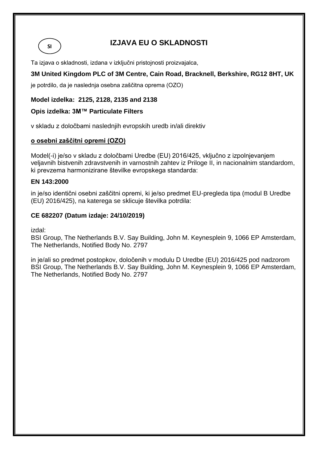**SI**

# **IZJAVA EU O SKLADNOSTI**

Ta izjava o skladnosti, izdana v izključni pristojnosti proizvajalca,

# **3M United Kingdom PLC of 3M Centre, Cain Road, Bracknell, Berkshire, RG12 8HT, UK**

je potrdilo, da je naslednja osebna zaščitna oprema (OZO)

#### **Model izdelka: 2125, 2128, 2135 and 2138**

#### **Opis izdelka: 3M™ Particulate Filters**

v skladu z določbami naslednjih evropskih uredb in/ali direktiv

#### **o osebni zaščitni opremi (OZO)**

Model(-i) je/so v skladu z določbami Uredbe (EU) 2016/425, vključno z izpolnjevanjem veljavnih bistvenih zdravstvenih in varnostnih zahtev iz Priloge II, in nacionalnim standardom, ki prevzema harmonizirane številke evropskega standarda:

#### **EN 143:2000**

in je/so identični osebni zaščitni opremi, ki je/so predmet EU-pregleda tipa (modul B Uredbe (EU) 2016/425), na katerega se sklicuje številka potrdila:

#### **CE 682207 (Datum izdaje: 24/10/2019)**

izdal:

BSI Group, The Netherlands B.V. Say Building, John M. Keynesplein 9, 1066 EP Amsterdam, The Netherlands, Notified Body No. 2797

in je/ali so predmet postopkov, določenih v modulu D Uredbe (EU) 2016/425 pod nadzorom BSI Group, The Netherlands B.V. Say Building, John M. Keynesplein 9, 1066 EP Amsterdam, The Netherlands, Notified Body No. 2797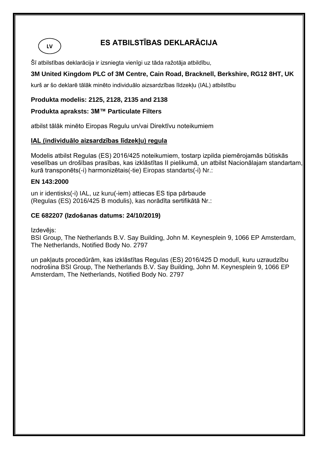# **ES ATBILSTĪBAS DEKLARĀCIJA**

Šī atbilstības deklarācija ir izsniegta vienīgi uz tāda ražotāja atbildību,

# **3M United Kingdom PLC of 3M Centre, Cain Road, Bracknell, Berkshire, RG12 8HT, UK**

kurš ar šo deklarē tālāk minēto individuālo aizsardzības līdzekļu (IAL) atbilstību

#### **Produkta modelis: 2125, 2128, 2135 and 2138**

#### **Produkta apraksts: 3M™ Particulate Filters**

atbilst tālāk minēto Eiropas Regulu un/vai Direktīvu noteikumiem

#### **IAL (individuālo aizsardzības līdzekļu) regula**

Modelis atbilst Regulas (ES) 2016/425 noteikumiem, tostarp izpilda piemērojamās būtiskās veselības un drošības prasības, kas izklāstītas II pielikumā, un atbilst Nacionālajam standartam, kurā transponēts(-i) harmonizētais(-tie) Eiropas standarts(-i) Nr.:

#### **EN 143:2000**

**LV**

un ir identisks(-i) IAL, uz kuru(-iem) attiecas ES tipa pārbaude (Regulas (ES) 2016/425 B modulis), kas norādīta sertifikātā Nr.:

#### **CE 682207 (Izdošanas datums: 24/10/2019)**

Izdevējs:

BSI Group, The Netherlands B.V. Say Building, John M. Keynesplein 9, 1066 EP Amsterdam, The Netherlands, Notified Body No. 2797

un pakļauts procedūrām, kas izklāstītas Regulas (ES) 2016/425 D modulī, kuru uzraudzību nodrošina BSI Group, The Netherlands B.V. Say Building, John M. Keynesplein 9, 1066 EP Amsterdam, The Netherlands, Notified Body No. 2797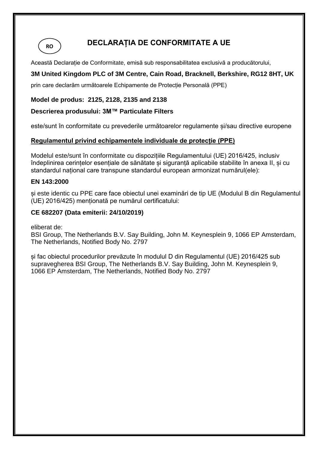**RO**

# **DECLARAȚIA DE CONFORMITATE A UE**

Această Declarație de Conformitate, emisă sub responsabilitatea exclusivă a producătorului,

# **3M United Kingdom PLC of 3M Centre, Cain Road, Bracknell, Berkshire, RG12 8HT, UK**

prin care declarăm următoarele Echipamente de Protecție Personală (PPE)

#### **Model de produs: 2125, 2128, 2135 and 2138**

#### **Descrierea produsului: 3M™ Particulate Filters**

este/sunt în conformitate cu prevederile următoarelor regulamente și/sau directive europene

#### **Regulamentul privind echipamentele individuale de protecție (PPE)**

Modelul este/sunt în conformitate cu dispozițiile Regulamentului (UE) 2016/425, inclusiv îndeplinirea cerințelor esențiale de sănătate și siguranță aplicabile stabilite în anexa II, și cu standardul național care transpune standardul european armonizat numărul(ele):

#### **EN 143:2000**

și este identic cu PPE care face obiectul unei examinări de tip UE (Modulul B din Regulamentul (UE) 2016/425) menționată pe numărul certificatului:

#### **CE 682207 (Data emiterii: 24/10/2019)**

eliberat de:

BSI Group, The Netherlands B.V. Say Building, John M. Keynesplein 9, 1066 EP Amsterdam, The Netherlands, Notified Body No. 2797

și fac obiectul procedurilor prevăzute în modulul D din Regulamentul (UE) 2016/425 sub supravegherea BSI Group, The Netherlands B.V. Say Building, John M. Keynesplein 9, 1066 EP Amsterdam, The Netherlands, Notified Body No. 2797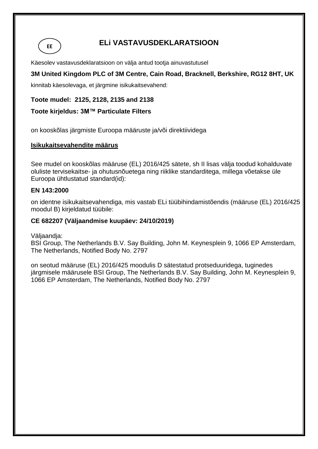# **ELi VASTAVUSDEKLARATSIOON**

Käesolev vastavusdeklaratsioon on välja antud tootja ainuvastutusel

### **3M United Kingdom PLC of 3M Centre, Cain Road, Bracknell, Berkshire, RG12 8HT, UK**

kinnitab käesolevaga, et järgmine isikukaitsevahend:

**Toote mudel: 2125, 2128, 2135 and 2138**

#### **Toote kirjeldus: 3M™ Particulate Filters**

on kooskõlas järgmiste Euroopa määruste ja/või direktiividega

#### **Isikukaitsevahendite määrus**

See mudel on kooskõlas määruse (EL) 2016/425 sätete, sh II lisas välja toodud kohalduvate oluliste tervisekaitse- ja ohutusnõuetega ning riiklike standarditega, millega võetakse üle Euroopa ühtlustatud standard(id):

#### **EN 143:2000**

**EE**

on identne isikukaitsevahendiga, mis vastab ELi tüübihindamistõendis (määruse (EL) 2016/425 moodul B) kirjeldatud tüübile:

#### **CE 682207 (Väljaandmise kuupäev: 24/10/2019)**

Väljaandja:

BSI Group, The Netherlands B.V. Say Building, John M. Keynesplein 9, 1066 EP Amsterdam, The Netherlands, Notified Body No. 2797

on seotud määruse (EL) 2016/425 moodulis D sätestatud protseduuridega, tuginedes järgmisele määrusele BSI Group, The Netherlands B.V. Say Building, John M. Keynesplein 9, 1066 EP Amsterdam, The Netherlands, Notified Body No. 2797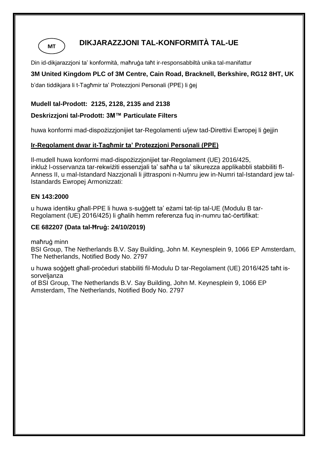

# **DIKJARAZZJONI TAL-KONFORMITÀ TAL-UE**

Din id-dikjarazzjoni ta' konformità, maħruġa taħt ir-responsabbiltà unika tal-manifattur

# **3M United Kingdom PLC of 3M Centre, Cain Road, Bracknell, Berkshire, RG12 8HT, UK**

b'dan tiddikjara li t-Tagħmir ta' Protezzjoni Personali (PPE) li ġej

### **Mudell tal-Prodott: 2125, 2128, 2135 and 2138**

# **Deskrizzjoni tal-Prodott: 3M™ Particulate Filters**

huwa konformi mad-dispożizzjonijiet tar-Regolamenti u/jew tad-Direttivi Ewropej li ġejjin

# **Ir-Regolament dwar it-Tagħmir ta' Protezzjoni Personali (PPE)**

Il-mudell huwa konformi mad-dispożizzjonijiet tar-Regolament (UE) 2016/425, inkluż l-osservanza tar-rekwiżiti essenzjali ta' saħħa u ta' sikurezza applikabbli stabbiliti fl-Anness II, u mal-Istandard Nazzjonali li jittrasponi n-Numru jew in-Numri tal-Istandard jew tal-Istandards Ewropej Armonizzati:

#### **EN 143:2000**

u huwa identiku għall-PPE li huwa s-suġġett ta' eżami tat-tip tal-UE (Modulu B tar-Regolament (UE) 2016/425) li għalih hemm referenza fuq in-numru taċ-ċertifikat:

# **CE 682207 (Data tal-Ħruġ: 24/10/2019)**

maħruġ minn

BSI Group, The Netherlands B.V. Say Building, John M. Keynesplein 9, 1066 EP Amsterdam, The Netherlands, Notified Body No. 2797

u huwa soġġett għall-proċeduri stabbiliti fil-Modulu D tar-Regolament (UE) 2016/425 taħt issorveljanza

of BSI Group, The Netherlands B.V. Say Building, John M. Keynesplein 9, 1066 EP Amsterdam, The Netherlands, Notified Body No. 2797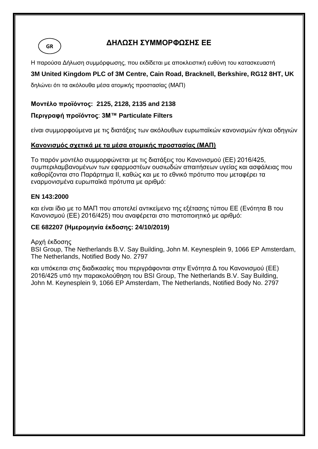**GR**

# **ΔΗΛΩΣΗ ΣΥΜΜΟΡΦΩΣΗΣ ΕΕ**

Η παρούσα Δήλωση συμμόρφωσης, που εκδίδεται με αποκλειστική ευθύνη του κατασκευαστή

# **3M United Kingdom PLC of 3M Centre, Cain Road, Bracknell, Berkshire, RG12 8HT, UK**

δηλώνει ότι τα ακόλουθα μέσα ατομικής προστασίας (ΜΑΠ)

#### **Μοντέλο προϊόντος: 2125, 2128, 2135 and 2138**

#### **Περιγραφή προϊόντος**: **3M™ Particulate Filters**

είναι συμμορφούμενα με τις διατάξεις των ακόλουθων ευρωπαϊκών κανονισμών ή/και οδηγιών

#### **Κανονισμός σχετικά με τα μέσα ατομικής προστασίας (ΜΑΠ)**

Το παρόν μοντέλο συμμορφώνεται με τις διατάξεις του Κανονισμού (ΕΕ) 2016/425, συμπεριλαμβανομένων των εφαρμοστέων ουσιωδών απαιτήσεων υγείας και ασφάλειας που καθορίζονται στο Παράρτημα ΙΙ, καθώς και με το εθνικό πρότυπο που μεταφέρει τα εναρμονισμένα ευρωπαϊκά πρότυπα με αριθμό:

#### **EN 143:2000**

και είναι ίδιο με το ΜΑΠ που αποτελεί αντικείμενο της εξέτασης τύπου ΕΕ (Ενότητα Β του Κανονισμού (ΕΕ) 2016/425) που αναφέρεται στο πιστοποιητικό με αριθμό:

#### **CE 682207 (Ημερομηνία έκδοσης: 24/10/2019)**

#### Αρχή έκδοσης

BSI Group, The Netherlands B.V. Say Building, John M. Keynesplein 9, 1066 EP Amsterdam, The Netherlands, Notified Body No. 2797

και υπόκειται στις διαδικασίες που περιγράφονται στην Ενότητα Δ του Κανονισμού (ΕΕ) 2016/425 υπό την παρακολούθηση του BSI Group, The Netherlands B.V. Say Building, John M. Keynesplein 9, 1066 EP Amsterdam, The Netherlands, Notified Body No. 2797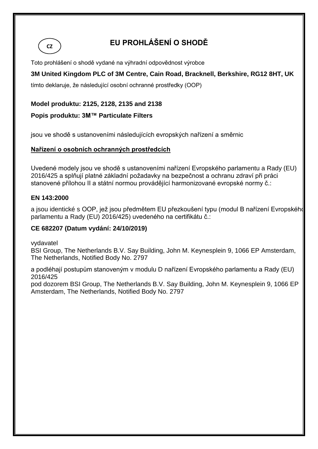

# **EU PROHLÁŠENÍ O SHODĚ**

Toto prohlášení o shodě vydané na výhradní odpovědnost výrobce

# **3M United Kingdom PLC of 3M Centre, Cain Road, Bracknell, Berkshire, RG12 8HT, UK**

tímto deklaruje, že následující osobní ochranné prostředky (OOP)

# **Model produktu: 2125, 2128, 2135 and 2138**

# **Popis produktu: 3M™ Particulate Filters**

jsou ve shodě s ustanoveními následujících evropských nařízení a směrnic

# **Nařízení o osobních ochranných prostředcích**

Uvedené modely jsou ve shodě s ustanoveními nařízení Evropského parlamentu a Rady (EU) 2016/425 a splňují platné základní požadavky na bezpečnost a ochranu zdraví při práci stanovené přílohou II a státní normou provádějící harmonizované evropské normy č.:

#### **EN 143:2000**

a jsou identické s OOP, jež jsou předmětem EU přezkoušení typu (modul B nařízení Evropského parlamentu a Rady (EU) 2016/425) uvedeného na certifikátu č.:

### **CE 682207 (Datum vydání: 24/10/2019)**

vydavatel

BSI Group, The Netherlands B.V. Say Building, John M. Keynesplein 9, 1066 EP Amsterdam, The Netherlands, Notified Body No. 2797

a podléhají postupům stanoveným v modulu D nařízení Evropského parlamentu a Rady (EU) 2016/425

pod dozorem BSI Group, The Netherlands B.V. Say Building, John M. Keynesplein 9, 1066 EP Amsterdam, The Netherlands, Notified Body No. 2797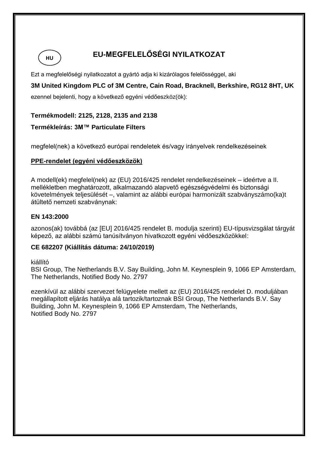

# **EU-MEGFELELŐSÉGI NYILATKOZAT**

Ezt a megfelelőségi nyilatkozatot a gyártó adja ki kizárólagos felelősséggel, aki

**3M United Kingdom PLC of 3M Centre, Cain Road, Bracknell, Berkshire, RG12 8HT, UK** 

ezennel bejelenti, hogy a következő egyéni védőeszköz(ök):

#### **Termékmodell: 2125, 2128, 2135 and 2138**

#### **Termékleírás: 3M™ Particulate Filters**

megfelel(nek) a következő európai rendeletek és/vagy irányelvek rendelkezéseinek

#### **PPE-rendelet (egyéni védőeszközök)**

A modell(ek) megfelel(nek) az (EU) 2016/425 rendelet rendelkezéseinek – ideértve a II. mellékletben meghatározott, alkalmazandó alapvető egészségvédelmi és biztonsági követelmények teljesülését –, valamint az alábbi európai harmonizált szabványszámo(ka)t átültető nemzeti szabványnak:

#### **EN 143:2000**

azonos(ak) továbbá (az [EU] 2016/425 rendelet B. modulja szerinti) EU-típusvizsgálat tárgyát képező, az alábbi számú tanúsítványon hivatkozott egyéni védőeszközökkel:

#### **CE 682207 (Kiállítás dátuma: 24/10/2019)**

kiállító

BSI Group, The Netherlands B.V. Say Building, John M. Keynesplein 9, 1066 EP Amsterdam, The Netherlands, Notified Body No. 2797

ezenkívül az alábbi szervezet felügyelete mellett az (EU) 2016/425 rendelet D. moduljában megállapított eljárás hatálya alá tartozik/tartoznak BSI Group, The Netherlands B.V. Say Building, John M. Keynesplein 9, 1066 EP Amsterdam, The Netherlands, Notified Body No. 2797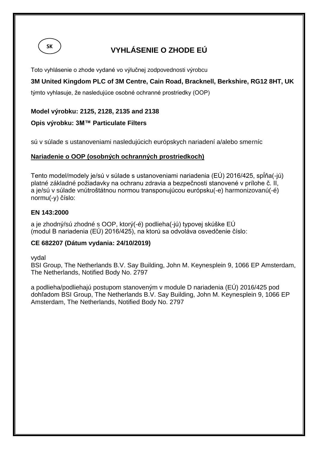

# **VYHLÁSENIE O ZHODE EÚ**

Toto vyhlásenie o zhode vydané vo výlučnej zodpovednosti výrobcu

# **3M United Kingdom PLC of 3M Centre, Cain Road, Bracknell, Berkshire, RG12 8HT, UK**

týmto vyhlasuje, že nasledujúce osobné ochranné prostriedky (OOP)

#### **Model výrobku: 2125, 2128, 2135 and 2138**

#### **Opis výrobku: 3M™ Particulate Filters**

sú v súlade s ustanoveniami nasledujúcich európskych nariadení a/alebo smerníc

#### **Nariadenie o OOP (osobných ochranných prostriedkoch)**

Tento model/modely je/sú v súlade s ustanoveniami nariadenia (EÚ) 2016/425, spĺňa(-jú) platné základné požiadavky na ochranu zdravia a bezpečnosti stanovené v prílohe č. II, a je/sú v súlade vnútroštátnou normou transponujúcou európsku(-e) harmonizovanú(-é) normu(-y) číslo:

#### **EN 143:2000**

a je zhodný/sú zhodné s OOP, ktorý(-é) podlieha(-jú) typovej skúške EÚ (modul B nariadenia (EÚ) 2016/425), na ktorú sa odvoláva osvedčenie číslo:

#### **CE 682207 (Dátum vydania: 24/10/2019)**

vydal

BSI Group, The Netherlands B.V. Say Building, John M. Keynesplein 9, 1066 EP Amsterdam, The Netherlands, Notified Body No. 2797

a podlieha/podliehajú postupom stanoveným v module D nariadenia (EÚ) 2016/425 pod dohľadom BSI Group, The Netherlands B.V. Say Building, John M. Keynesplein 9, 1066 EP Amsterdam, The Netherlands, Notified Body No. 2797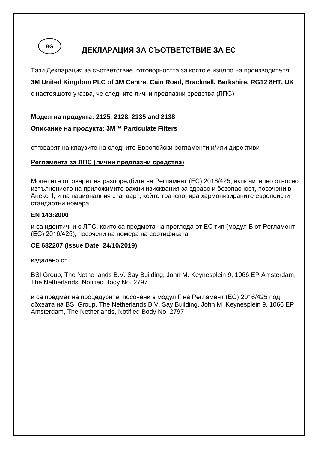

# **ДЕКЛАРАЦИЯ ЗА СЪОТВЕТСТВИЕ ЗА ЕС**

Тази Декларация за съответствие, отговорността за която е изцяло на производителя **3M United Kingdom PLC of 3M Centre, Cain Road, Bracknell, Berkshire, RG12 8HT, UK** 

с настоящото указва, че следните лични предпазни средства (ЛПС)

**Модел на продукта: 2125, 2128, 2135 and 2138**

# **Описание на продукта: 3M™ Particulate Filters**

отговарят на клаузите на следните Европейски регламенти и/или директиви

#### **Регламента за ЛПС (лични предпазни средства)**

Моделите отговарят на разпоредбите на Регламент (ЕС) 2016/425, включително относно изпълнението на приложимите важни изисквания за здраве и безопасност, посочени в Анекс II, и на националния стандарт, който транспонира хармонизираните европейски стандартни номера:

#### **EN 143:2000**

и са идентични с ЛПС, които са предмета на прегледа от ЕС тип (модул Б от Регламент (ЕС) 2016/425), посочени на номера на сертификата:

#### **CE 682207 (Issue Date: 24/10/2019)**

издадено от

BSI Group, The Netherlands B.V. Say Building, John M. Keynesplein 9, 1066 EP Amsterdam, The Netherlands, Notified Body No. 2797

и са предмет на процедурите, посочени в модул Г на Регламент (ЕС) 2016/425 под обхвата на BSI Group, The Netherlands B.V. Say Building, John M. Keynesplein 9, 1066 EP Amsterdam, The Netherlands, Notified Body No. 2797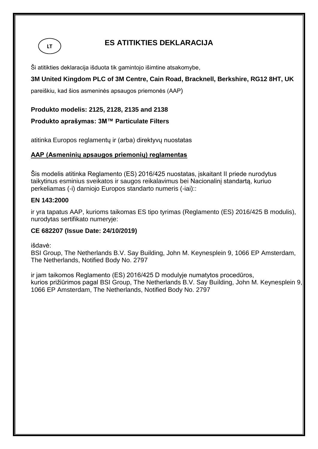

# **ES ATITIKTIES DEKLARACIJA**

Ši atitikties deklaracija išduota tik gamintojo išimtine atsakomybe,

# **3M United Kingdom PLC of 3M Centre, Cain Road, Bracknell, Berkshire, RG12 8HT, UK**

pareiškiu, kad šios asmeninės apsaugos priemonės (AAP)

**Produkto modelis: 2125, 2128, 2135 and 2138**

**Produkto aprašymas: 3M™ Particulate Filters**

atitinka Europos reglamentų ir (arba) direktyvų nuostatas

#### **AAP (Asmeninių apsaugos priemonių) reglamentas**

Šis modelis atitinka Reglamento (ES) 2016/425 nuostatas, įskaitant II priede nurodytus taikytinus esminius sveikatos ir saugos reikalavimus bei Nacionalinį standartą, kuriuo perkeliamas (-i) darniojo Europos standarto numeris (-iai)::

#### **EN 143:2000**

ir yra tapatus AAP, kurioms taikomas ES tipo tyrimas (Reglamento (ES) 2016/425 B modulis), nurodytas sertifikato numeryje:

#### **CE 682207 (Issue Date: 24/10/2019)**

išdavė:

BSI Group, The Netherlands B.V. Say Building, John M. Keynesplein 9, 1066 EP Amsterdam, The Netherlands, Notified Body No. 2797

ir jam taikomos Reglamento (ES) 2016/425 D modulyje numatytos procedūros, kurios prižiūrimos pagal BSI Group, The Netherlands B.V. Say Building, John M. Keynesplein 9, 1066 EP Amsterdam, The Netherlands, Notified Body No. 2797